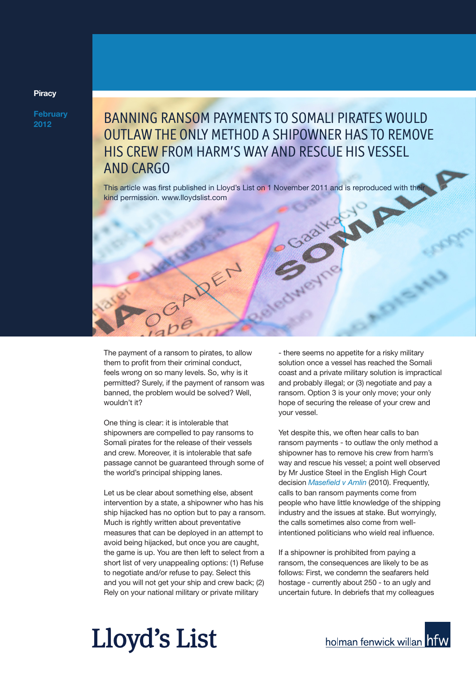## **Piracy**

**February 2012**

## BANNING RANSOM PAYMENTS TO SOMALI PIRATES WOULD OUTLAW THE ONLY METHOD A SHIPOWNER HAS TO REMOVE HIS CREW FROM HARM'S WAY AND RESCUE HIS VESSEL AND CARGO

This article was first published in Lloyd's List on 1 November 2011 and is reproduced with their kind permission. www.lloydslist.com



The payment of a ransom to pirates, to allow them to profit from their criminal conduct, feels wrong on so many levels. So, why is it permitted? Surely, if the payment of ransom was banned, the problem would be solved? Well, wouldn't it?

One thing is clear: it is intolerable that shipowners are compelled to pay ransoms to Somali pirates for the release of their vessels and crew. Moreover, it is intolerable that safe passage cannot be guaranteed through some of the world's principal shipping lanes.

Let us be clear about something else, absent intervention by a state, a shipowner who has his ship hijacked has no option but to pay a ransom. Much is rightly written about preventative measures that can be deployed in an attempt to avoid being hijacked, but once you are caught, the game is up. You are then left to select from a short list of very unappealing options: (1) Refuse to negotiate and/or refuse to pay. Select this and you will not get your ship and crew back; (2) Rely on your national military or private military

- there seems no appetite for a risky military solution once a vessel has reached the Somali coast and a private military solution is impractical and probably illegal; or (3) negotiate and pay a ransom. Option 3 is your only move; your only hope of securing the release of your crew and your vessel.

Yet despite this, we often hear calls to ban ransom payments - to outlaw the only method a shipowner has to remove his crew from harm's way and rescue his vessel; a point well observed by Mr Justice Steel in the English High Court decision *Masefield v Amlin* (2010). Frequently, calls to ban ransom payments come from people who have little knowledge of the shipping industry and the issues at stake. But worryingly, the calls sometimes also come from wellintentioned politicians who wield real influence.

If a shipowner is prohibited from paying a ransom, the consequences are likely to be as follows: First, we condemn the seafarers held hostage - currently about 250 - to an ugly and uncertain future. In debriefs that my colleagues

## Lloyd's List

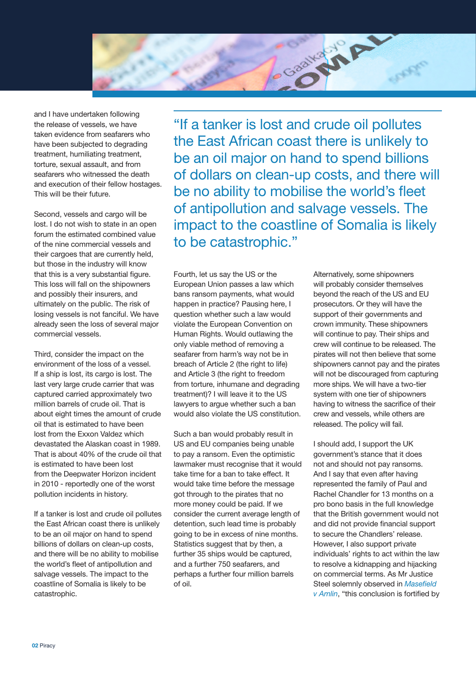

and I have undertaken following the release of vessels, we have taken evidence from seafarers who have been subjected to degrading treatment, humiliating treatment, torture, sexual assault, and from seafarers who witnessed the death and execution of their fellow hostages. This will be their future.

Second, vessels and cargo will be lost. I do not wish to state in an open forum the estimated combined value of the nine commercial vessels and their cargoes that are currently held, but those in the industry will know that this is a very substantial figure. This loss will fall on the shipowners and possibly their insurers, and ultimately on the public. The risk of losing vessels is not fanciful. We have already seen the loss of several major commercial vessels.

Third, consider the impact on the environment of the loss of a vessel. If a ship is lost, its cargo is lost. The last very large crude carrier that was captured carried approximately two million barrels of crude oil. That is about eight times the amount of crude oil that is estimated to have been lost from the Exxon Valdez which devastated the Alaskan coast in 1989. That is about 40% of the crude oil that is estimated to have been lost from the Deepwater Horizon incident in 2010 - reportedly one of the worst pollution incidents in history.

If a tanker is lost and crude oil pollutes the East African coast there is unlikely to be an oil major on hand to spend billions of dollars on clean-up costs, and there will be no ability to mobilise the world's fleet of antipollution and salvage vessels. The impact to the coastline of Somalia is likely to be catastrophic.

"If a tanker is lost and crude oil pollutes the East African coast there is unlikely to be an oil major on hand to spend billions of dollars on clean-up costs, and there will be no ability to mobilise the world's fleet of antipollution and salvage vessels. The impact to the coastline of Somalia is likely to be catastrophic."

Fourth, let us say the US or the European Union passes a law which bans ransom payments, what would happen in practice? Pausing here, I question whether such a law would violate the European Convention on Human Rights. Would outlawing the only viable method of removing a seafarer from harm's way not be in breach of Article 2 (the right to life) and Article 3 (the right to freedom from torture, inhumane and degrading treatment)? I will leave it to the US lawyers to argue whether such a ban would also violate the US constitution.

Such a ban would probably result in US and EU companies being unable to pay a ransom. Even the optimistic lawmaker must recognise that it would take time for a ban to take effect. It would take time before the message got through to the pirates that no more money could be paid. If we consider the current average length of detention, such lead time is probably going to be in excess of nine months. Statistics suggest that by then, a further 35 ships would be captured, and a further 750 seafarers, and perhaps a further four million barrels of oil.

Alternatively, some shipowners will probably consider themselves beyond the reach of the US and EU prosecutors. Or they will have the support of their governments and crown immunity. These shipowners will continue to pay. Their ships and crew will continue to be released. The pirates will not then believe that some shipowners cannot pay and the pirates will not be discouraged from capturing more ships. We will have a two-tier system with one tier of shipowners having to witness the sacrifice of their crew and vessels, while others are released. The policy will fail.

I should add, I support the UK government's stance that it does not and should not pay ransoms. And I say that even after having represented the family of Paul and Rachel Chandler for 13 months on a pro bono basis in the full knowledge that the British government would not and did not provide financial support to secure the Chandlers' release. However, I also support private individuals' rights to act within the law to resolve a kidnapping and hijacking on commercial terms. As Mr Justice Steel solemnly observed in *Masefield v Amlin*, "this conclusion is fortified by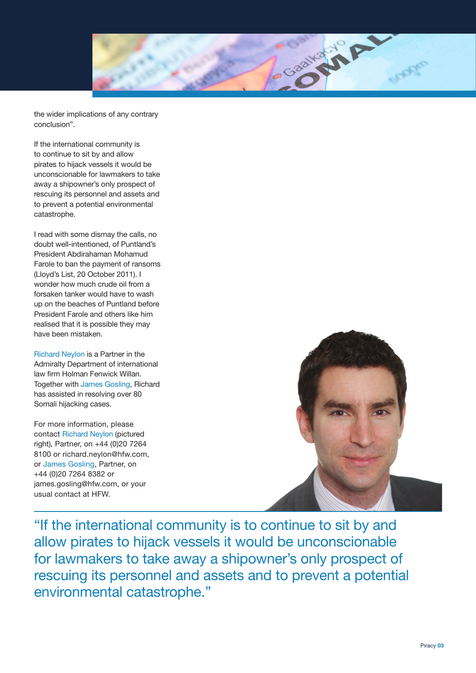

the wider implications of any contrary conclusion".

If the international community is to continue to sit by and allow pirates to hijack vessels it would be unconscionable for lawmakers to take away a shipowner's only prospect of rescuing its personnel and assets and to prevent a potential environmental catastrophe.

I read with some dismay the calls, no doubt well-intentioned, of Puntland's President Abdirahaman Mohamud Farole to ban the payment of ransoms (Lloyd's List, 20 October 2011). I wonder how much crude oil from a forsaken tanker would have to wash up on the beaches of Puntland before President Farole and others like him realised that it is possible they may have been mistaken.

Richard Neylon is a Partner in the Admiralty Department of international law firm Holman Fenwick Willan. Together with James Gosling, Richard has assisted in resolving over 80 Somali hijacking cases.

For more information, please contact Richard Neylon (pictured right), Partner, on +44 (0)20 7264 8100 or richard.neylon@hfw.com, or James Gosling, Partner, on +44 (0)20 7264 8382 or james.gosling@hfw.com, or your usual contact at HFW.



"If the international community is to continue to sit by and allow pirates to hijack vessels it would be unconscionable for lawmakers to take away a shipowner's only prospect of rescuing its personnel and assets and to prevent a potential environmental catastrophe."